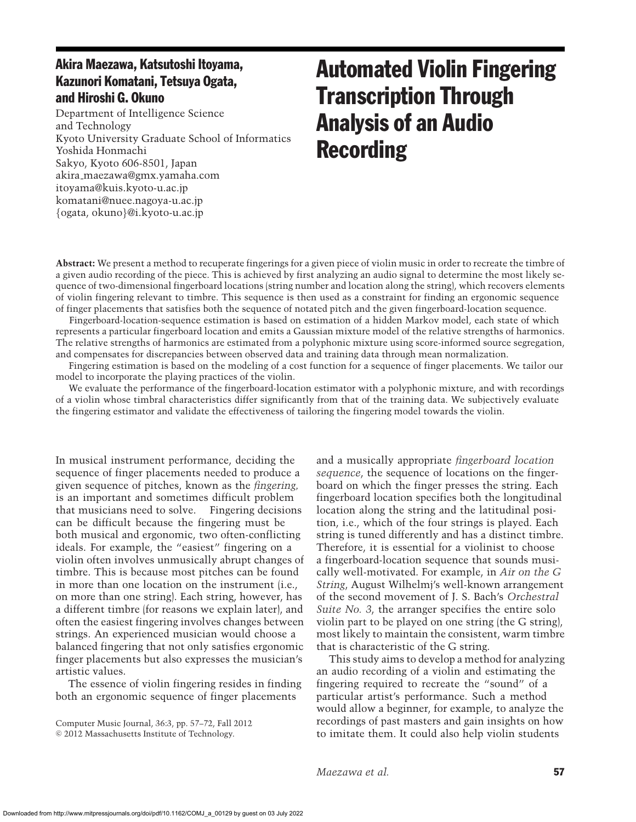# Akira Maezawa, Katsutoshi Itoyama, Kazunori Komatani, Tetsuya Ogata, and Hiroshi G. Okuno

Department of Intelligence Science and Technology Kyoto University Graduate School of Informatics Yoshida Honmachi Sakyo, Kyoto 606-8501, Japan akira maezawa@gmx.yamaha.com itoyama@kuis.kyoto-u.ac.jp komatani@nuee.nagoya-u.ac.jp {ogata, okuno}@i.kyoto-u.ac.jp

# Automated Violin Fingering Transcription Through Analysis of an Audio **Recording**

**Abstract:** We present a method to recuperate fingerings for a given piece of violin music in order to recreate the timbre of a given audio recording of the piece. This is achieved by first analyzing an audio signal to determine the most likely sequence of two-dimensional fingerboard locations (string number and location along the string), which recovers elements of violin fingering relevant to timbre. This sequence is then used as a constraint for finding an ergonomic sequence of finger placements that satisfies both the sequence of notated pitch and the given fingerboard-location sequence.

Fingerboard-location-sequence estimation is based on estimation of a hidden Markov model, each state of which represents a particular fingerboard location and emits a Gaussian mixture model of the relative strengths of harmonics. The relative strengths of harmonics are estimated from a polyphonic mixture using score-informed source segregation, and compensates for discrepancies between observed data and training data through mean normalization.

Fingering estimation is based on the modeling of a cost function for a sequence of finger placements. We tailor our model to incorporate the playing practices of the violin.

We evaluate the performance of the fingerboard-location estimator with a polyphonic mixture, and with recordings of a violin whose timbral characteristics differ significantly from that of the training data. We subjectively evaluate the fingering estimator and validate the effectiveness of tailoring the fingering model towards the violin.

In musical instrument performance, deciding the sequence of finger placements needed to produce a given sequence of pitches, known as the *fingering,* is an important and sometimes difficult problem that musicians need to solve. Fingering decisions can be difficult because the fingering must be both musical and ergonomic, two often-conflicting ideals. For example, the "easiest" fingering on a violin often involves unmusically abrupt changes of timbre. This is because most pitches can be found in more than one location on the instrument (i.e., on more than one string). Each string, however, has a different timbre (for reasons we explain later), and often the easiest fingering involves changes between strings. An experienced musician would choose a balanced fingering that not only satisfies ergonomic finger placements but also expresses the musician's artistic values.

The essence of violin fingering resides in finding both an ergonomic sequence of finger placements

Computer Music Journal, 36:3, pp. 57–72, Fall 2012

© 2012 Massachusetts Institute of Technology.

and a musically appropriate *fingerboard location sequence*, the sequence of locations on the fingerboard on which the finger presses the string. Each fingerboard location specifies both the longitudinal location along the string and the latitudinal position, i.e., which of the four strings is played. Each string is tuned differently and has a distinct timbre. Therefore, it is essential for a violinist to choose a fingerboard-location sequence that sounds musically well-motivated. For example, in *Air on the G String*, August Wilhelmj's well-known arrangement of the second movement of J. S. Bach's *Orchestral Suite No. 3*, the arranger specifies the entire solo violin part to be played on one string (the G string), most likely to maintain the consistent, warm timbre that is characteristic of the G string.

This study aims to develop a method for analyzing an audio recording of a violin and estimating the fingering required to recreate the "sound" of a particular artist's performance. Such a method would allow a beginner, for example, to analyze the recordings of past masters and gain insights on how to imitate them. It could also help violin students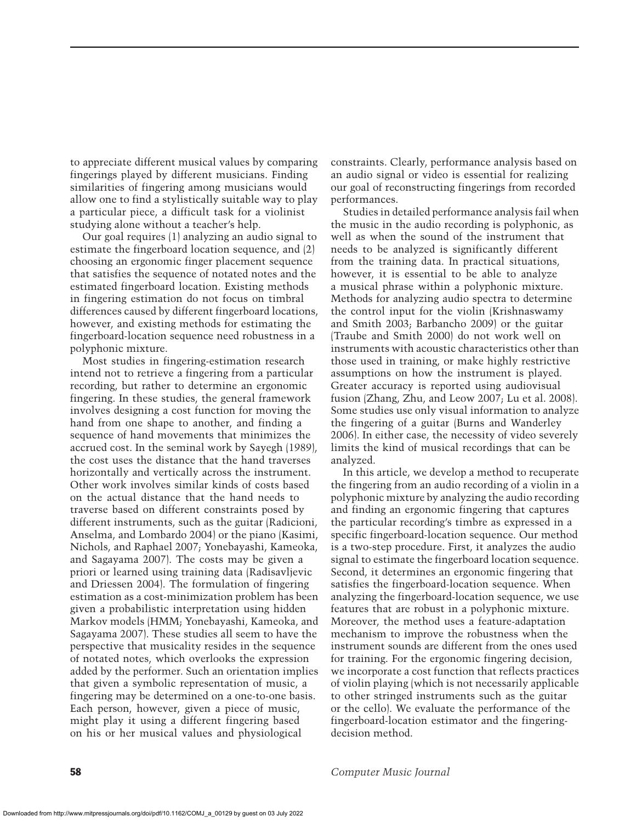to appreciate different musical values by comparing fingerings played by different musicians. Finding similarities of fingering among musicians would allow one to find a stylistically suitable way to play a particular piece, a difficult task for a violinist studying alone without a teacher's help.

Our goal requires (1) analyzing an audio signal to estimate the fingerboard location sequence, and (2) choosing an ergonomic finger placement sequence that satisfies the sequence of notated notes and the estimated fingerboard location. Existing methods in fingering estimation do not focus on timbral differences caused by different fingerboard locations, however, and existing methods for estimating the fingerboard-location sequence need robustness in a polyphonic mixture.

Most studies in fingering-estimation research intend not to retrieve a fingering from a particular recording, but rather to determine an ergonomic fingering. In these studies, the general framework involves designing a cost function for moving the hand from one shape to another, and finding a sequence of hand movements that minimizes the accrued cost. In the seminal work by Sayegh (1989), the cost uses the distance that the hand traverses horizontally and vertically across the instrument. Other work involves similar kinds of costs based on the actual distance that the hand needs to traverse based on different constraints posed by different instruments, such as the guitar (Radicioni, Anselma, and Lombardo 2004) or the piano (Kasimi, Nichols, and Raphael 2007; Yonebayashi, Kameoka, and Sagayama 2007). The costs may be given a priori or learned using training data (Radisavljevic and Driessen 2004). The formulation of fingering estimation as a cost-minimization problem has been given a probabilistic interpretation using hidden Markov models (HMM; Yonebayashi, Kameoka, and Sagayama 2007). These studies all seem to have the perspective that musicality resides in the sequence of notated notes, which overlooks the expression added by the performer. Such an orientation implies that given a symbolic representation of music, a fingering may be determined on a one-to-one basis. Each person, however, given a piece of music, might play it using a different fingering based on his or her musical values and physiological

constraints. Clearly, performance analysis based on an audio signal or video is essential for realizing our goal of reconstructing fingerings from recorded performances.

Studies in detailed performance analysis fail when the music in the audio recording is polyphonic, as well as when the sound of the instrument that needs to be analyzed is significantly different from the training data. In practical situations, however, it is essential to be able to analyze a musical phrase within a polyphonic mixture. Methods for analyzing audio spectra to determine the control input for the violin (Krishnaswamy and Smith 2003; Barbancho 2009) or the guitar (Traube and Smith 2000) do not work well on instruments with acoustic characteristics other than those used in training, or make highly restrictive assumptions on how the instrument is played. Greater accuracy is reported using audiovisual fusion (Zhang, Zhu, and Leow 2007; Lu et al. 2008). Some studies use only visual information to analyze the fingering of a guitar (Burns and Wanderley 2006). In either case, the necessity of video severely limits the kind of musical recordings that can be analyzed.

In this article, we develop a method to recuperate the fingering from an audio recording of a violin in a polyphonic mixture by analyzing the audio recording and finding an ergonomic fingering that captures the particular recording's timbre as expressed in a specific fingerboard-location sequence. Our method is a two-step procedure. First, it analyzes the audio signal to estimate the fingerboard location sequence. Second, it determines an ergonomic fingering that satisfies the fingerboard-location sequence. When analyzing the fingerboard-location sequence, we use features that are robust in a polyphonic mixture. Moreover, the method uses a feature-adaptation mechanism to improve the robustness when the instrument sounds are different from the ones used for training. For the ergonomic fingering decision, we incorporate a cost function that reflects practices of violin playing (which is not necessarily applicable to other stringed instruments such as the guitar or the cello). We evaluate the performance of the fingerboard-location estimator and the fingeringdecision method.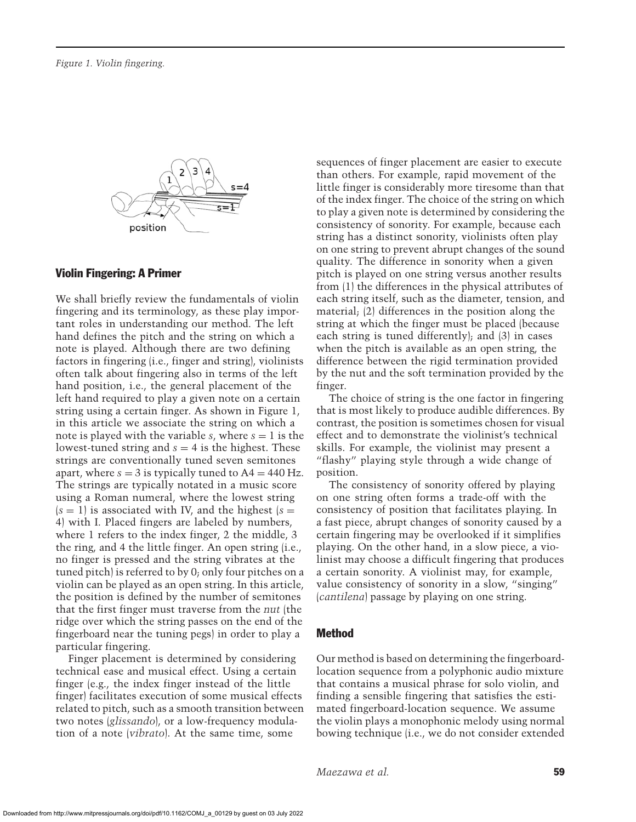

### Violin Fingering: A Primer

We shall briefly review the fundamentals of violin fingering and its terminology, as these play important roles in understanding our method. The left hand defines the pitch and the string on which a note is played. Although there are two defining factors in fingering (i.e., finger and string), violinists often talk about fingering also in terms of the left hand position, i.e., the general placement of the left hand required to play a given note on a certain string using a certain finger. As shown in Figure 1, in this article we associate the string on which a note is played with the variable  $s$ , where  $s = 1$  is the lowest-tuned string and  $s = 4$  is the highest. These strings are conventionally tuned seven semitones apart, where  $s = 3$  is typically tuned to  $A4 = 440$  Hz. The strings are typically notated in a music score using a Roman numeral, where the lowest string  $(s = 1)$  is associated with IV, and the highest  $(s = 1)$ 4) with I. Placed fingers are labeled by numbers, where 1 refers to the index finger, 2 the middle, 3 the ring, and 4 the little finger. An open string (i.e., no finger is pressed and the string vibrates at the tuned pitch) is referred to by 0; only four pitches on a violin can be played as an open string. In this article, the position is defined by the number of semitones that the first finger must traverse from the *nut* (the ridge over which the string passes on the end of the fingerboard near the tuning pegs) in order to play a particular fingering.

Finger placement is determined by considering technical ease and musical effect. Using a certain finger (e.g., the index finger instead of the little finger) facilitates execution of some musical effects related to pitch, such as a smooth transition between two notes (*glissando*), or a low-frequency modulation of a note (*vibrato*). At the same time, some

sequences of finger placement are easier to execute than others. For example, rapid movement of the little finger is considerably more tiresome than that of the index finger. The choice of the string on which to play a given note is determined by considering the consistency of sonority. For example, because each string has a distinct sonority, violinists often play on one string to prevent abrupt changes of the sound quality. The difference in sonority when a given pitch is played on one string versus another results from (1) the differences in the physical attributes of each string itself, such as the diameter, tension, and material; (2) differences in the position along the string at which the finger must be placed (because each string is tuned differently); and (3) in cases when the pitch is available as an open string, the difference between the rigid termination provided by the nut and the soft termination provided by the finger.

The choice of string is the one factor in fingering that is most likely to produce audible differences. By contrast, the position is sometimes chosen for visual effect and to demonstrate the violinist's technical skills. For example, the violinist may present a "flashy" playing style through a wide change of position.

The consistency of sonority offered by playing on one string often forms a trade-off with the consistency of position that facilitates playing. In a fast piece, abrupt changes of sonority caused by a certain fingering may be overlooked if it simplifies playing. On the other hand, in a slow piece, a violinist may choose a difficult fingering that produces a certain sonority. A violinist may, for example, value consistency of sonority in a slow, "singing" (*cantilena*) passage by playing on one string.

# Method

Our method is based on determining the fingerboardlocation sequence from a polyphonic audio mixture that contains a musical phrase for solo violin, and finding a sensible fingering that satisfies the estimated fingerboard-location sequence. We assume the violin plays a monophonic melody using normal bowing technique (i.e., we do not consider extended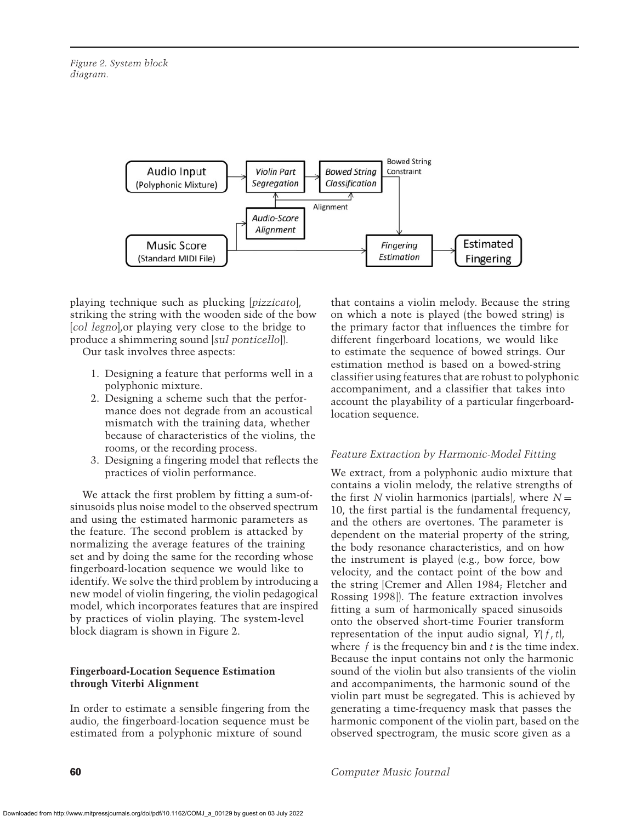*Figure 2. System block diagram.*



playing technique such as plucking [*pizzicato*], striking the string with the wooden side of the bow [*col legno*],or playing very close to the bridge to produce a shimmering sound [*sul ponticello*]).

Our task involves three aspects:

- 1. Designing a feature that performs well in a polyphonic mixture.
- 2. Designing a scheme such that the performance does not degrade from an acoustical mismatch with the training data, whether because of characteristics of the violins, the rooms, or the recording process.
- 3. Designing a fingering model that reflects the practices of violin performance.

We attack the first problem by fitting a sum-ofsinusoids plus noise model to the observed spectrum and using the estimated harmonic parameters as the feature. The second problem is attacked by normalizing the average features of the training set and by doing the same for the recording whose fingerboard-location sequence we would like to identify. We solve the third problem by introducing a new model of violin fingering, the violin pedagogical model, which incorporates features that are inspired by practices of violin playing. The system-level block diagram is shown in Figure 2.

### **Fingerboard-Location Sequence Estimation through Viterbi Alignment**

In order to estimate a sensible fingering from the audio, the fingerboard-location sequence must be estimated from a polyphonic mixture of sound

that contains a violin melody. Because the string on which a note is played (the bowed string) is the primary factor that influences the timbre for different fingerboard locations, we would like to estimate the sequence of bowed strings. Our estimation method is based on a bowed-string classifier using features that are robust to polyphonic accompaniment, and a classifier that takes into account the playability of a particular fingerboardlocation sequence.

#### *Feature Extraction by Harmonic-Model Fitting*

We extract, from a polyphonic audio mixture that contains a violin melody, the relative strengths of the first *N* violin harmonics (partials), where  $N =$ 10, the first partial is the fundamental frequency, and the others are overtones. The parameter is dependent on the material property of the string, the body resonance characteristics, and on how the instrument is played (e.g., bow force, bow velocity, and the contact point of the bow and the string [Cremer and Allen 1984; Fletcher and Rossing 1998]). The feature extraction involves fitting a sum of harmonically spaced sinusoids onto the observed short-time Fourier transform representation of the input audio signal,  $Y(f, t)$ , where *f* is the frequency bin and *t* is the time index. Because the input contains not only the harmonic sound of the violin but also transients of the violin and accompaniments, the harmonic sound of the violin part must be segregated. This is achieved by generating a time-frequency mask that passes the harmonic component of the violin part, based on the observed spectrogram, the music score given as a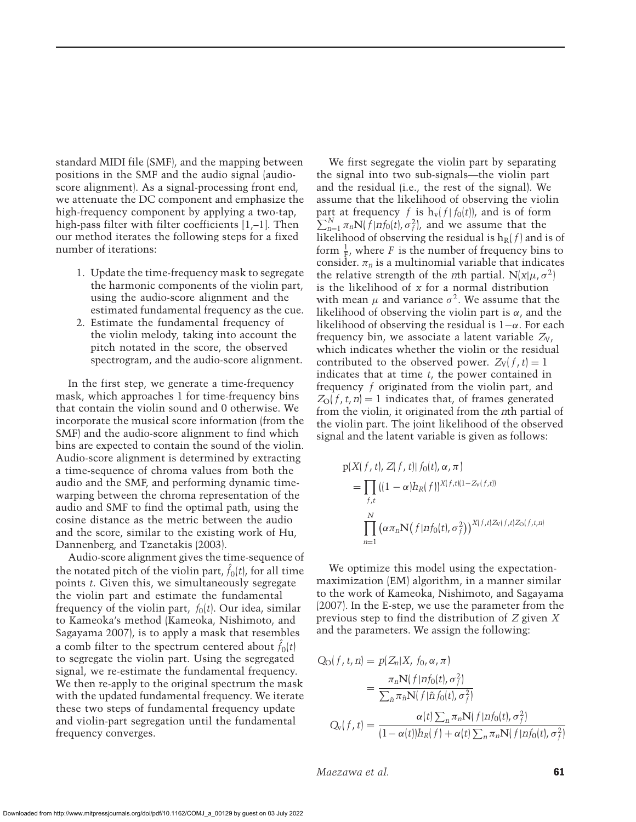standard MIDI file (SMF), and the mapping between positions in the SMF and the audio signal (audioscore alignment). As a signal-processing front end, we attenuate the DC component and emphasize the high-frequency component by applying a two-tap, high-pass filter with filter coefficients [1,-1]. Then our method iterates the following steps for a fixed number of iterations:

- 1. Update the time-frequency mask to segregate the harmonic components of the violin part, using the audio-score alignment and the estimated fundamental frequency as the cue.
- 2. Estimate the fundamental frequency of the violin melody, taking into account the pitch notated in the score, the observed spectrogram, and the audio-score alignment.

In the first step, we generate a time-frequency mask, which approaches 1 for time-frequency bins that contain the violin sound and 0 otherwise. We incorporate the musical score information (from the SMF) and the audio-score alignment to find which bins are expected to contain the sound of the violin. Audio-score alignment is determined by extracting a time-sequence of chroma values from both the audio and the SMF, and performing dynamic timewarping between the chroma representation of the audio and SMF to find the optimal path, using the cosine distance as the metric between the audio and the score, similar to the existing work of Hu, Dannenberg, and Tzanetakis (2003).

Audio-score alignment gives the time-sequence of the notated pitch of the violin part,  $\hat{f}_0(t)$ , for all time points *t*. Given this, we simultaneously segregate the violin part and estimate the fundamental frequency of the violin part,  $f_0(t)$ . Our idea, similar to Kameoka's method (Kameoka, Nishimoto, and Sagayama 2007), is to apply a mask that resembles a comb filter to the spectrum centered about  $\hat{f}_0(t)$ to segregate the violin part. Using the segregated signal, we re-estimate the fundamental frequency. We then re-apply to the original spectrum the mask with the updated fundamental frequency. We iterate these two steps of fundamental frequency update and violin-part segregation until the fundamental frequency converges.

We first segregate the violin part by separating the signal into two sub-signals—the violin part and the residual (i.e., the rest of the signal). We assume that the likelihood of observing the violin part at frequency  $f$  is  $h_v(f|f_0(t))$ , and is of form  $\sum_{n=1}^{N} \pi_n N(\tilde{f} | n f_0(t), \sigma_f^2)$ , and we assume that the likelihood of observing the residual is  $h_R(f)$  and is of form  $\frac{1}{\mathbb{F}}$ , where *F* is the number of frequency bins to consider.  $\pi_n$  is a multinomial variable that indicates the relative strength of the *n*th partial. N( $x|\mu, \sigma^2$ ) is the likelihood of *x* for a normal distribution with mean  $\mu$  and variance  $\sigma^2$ . We assume that the likelihood of observing the violin part is  $\alpha$ , and the likelihood of observing the residual is  $1-\alpha$ . For each frequency bin, we associate a latent variable  $Z_V$ , which indicates whether the violin or the residual contributed to the observed power.  $Z_V(f, t) = 1$ indicates that at time *t*, the power contained in frequency *f* originated from the violin part, and  $Z_{\text{O}}(f, t, n) = 1$  indicates that, of frames generated from the violin, it originated from the *n*th partial of the violin part. The joint likelihood of the observed signal and the latent variable is given as follows:

$$
p(X(f, t), Z(f, t)) f_0(t), \alpha, \pi)
$$
  
= 
$$
\prod_{f,t} ((1 - \alpha)h_R(f))^{X(f, t)(1 - Z_V(f, t))}
$$
  

$$
\prod_{n=1}^N (\alpha \pi_n N(f \mid nf_0(t), \sigma_f^2))^{X(f, t)Z_V(f, t)Z_O(f, t, n)}
$$

We optimize this model using the expectationmaximization (EM) algorithm, in a manner similar to the work of Kameoka, Nishimoto, and Sagayama (2007). In the E-step, we use the parameter from the previous step to find the distribution of *Z* given *X* and the parameters. We assign the following:

$$
Q_{\text{O}}(f, t, n) = p(Z_n | X, f_0, \alpha, \pi)
$$
  
= 
$$
\frac{\pi_n \mathbf{N}(f | n f_0(t), \sigma_f^2)}{\sum_{\tilde{n}} \pi_{\tilde{n}} \mathbf{N}(f | \tilde{n} f_0(t), \sigma_f^2)}
$$
  

$$
Q_{\text{v}}(f, t) = \frac{\alpha(t) \sum_{n} \pi_n \mathbf{N}(f | n f_0(t), \sigma_f^2)}{(1 - \alpha(t) | h_R(f) + \alpha(t) \sum_{n} \pi_n \mathbf{N}(f | n f_0(t), \sigma_f^2)}
$$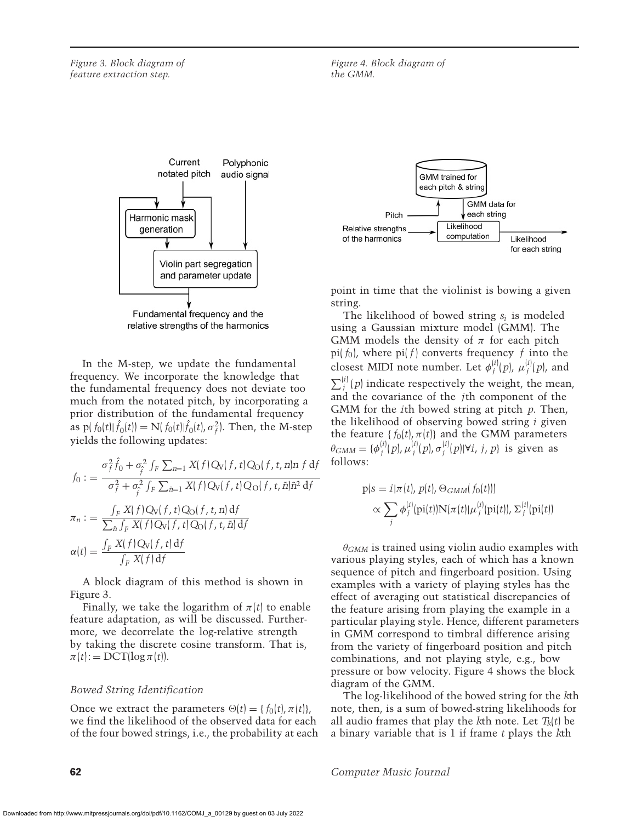*Figure 3. Block diagram of feature extraction step.*

*Figure 4. Block diagram of the GMM.*



In the M-step, we update the fundamental frequency. We incorporate the knowledge that the fundamental frequency does not deviate too much from the notated pitch, by incorporating a prior distribution of the fundamental frequency as  $p(f_0(t)|\hat{f}_0(t)) = N(f_0(t)|\hat{f}_0(t), \sigma_f^2)$ . Then, the M-step yields the following updates:

$$
f_0 := \frac{\sigma_f^2 \hat{f}_0 + \sigma_f^2 f_F \sum_{n=1} X(f) Q_V(f, t) Q_O(f, t, n) n f df}{\sigma_f^2 + \sigma_f^2 f_F \sum_{\tilde{n}=1} X(f) Q_V(f, t) Q_O(f, t, \tilde{n}) \tilde{n}^2 df}
$$
  

$$
\pi_n := \frac{\int_F X(f) Q_V(f, t) Q_O(f, t, n) df}{\sum_{\tilde{n}} \int_F X(f) Q_V(f, t) Q_O(f, t, \tilde{n}) df}
$$
  

$$
\alpha(t) = \frac{\int_F X(f) Q_V(f, t) df}{\int_F X(f) df}
$$

A block diagram of this method is shown in Figure 3.

Finally, we take the logarithm of  $\pi(t)$  to enable feature adaptation, as will be discussed. Furthermore, we decorrelate the log-relative strength by taking the discrete cosine transform. That is,  $\pi(t)$ : = DCT( $\log \pi(t)$ ).

#### *Bowed String Identification*

Once we extract the parameters  $\Theta(t) = \{ f_0(t), \pi(t) \}$ , we find the likelihood of the observed data for each of the four bowed strings, i.e., the probability at each



point in time that the violinist is bowing a given string.

The likelihood of bowed string *si* is modeled using a Gaussian mixture model (GMM). The GMM models the density of  $\pi$  for each pitch pi( $f_0$ ), where pi( $f$ ) converts frequency  $f$  into the closest MIDI note number. Let  $\phi_j^{(i)}(p)$ ,  $\mu_j^{(i)}(p)$ , and  $\sum_{j}^{(i)}(p)$  indicate respectively the weight, the mean, and the covariance of the *j*th component of the GMM for the *i*th bowed string at pitch *p*. Then, the likelihood of observing bowed string *i* given the feature  $\{f_0(t), \pi(t)\}$  and the GMM parameters  $\theta_{GMM} = {\phi_j^{(i)}(p), \mu_j^{(i)}(p), \sigma_j^{(i)}(p)} \forall i, j, p$  is given as follows:

$$
p(s = i | \pi(t), p(t), \Theta_{GMM}(f_0(t)))
$$
  
 
$$
\propto \sum_j \phi_j^{(i)}(pi(t))N(\pi(t)|\mu_j^{(i)}(pi(t)), \Sigma_j^{(i)}(pi(t))
$$

 $\theta_{GMM}$  is trained using violin audio examples with various playing styles, each of which has a known sequence of pitch and fingerboard position. Using examples with a variety of playing styles has the effect of averaging out statistical discrepancies of the feature arising from playing the example in a particular playing style. Hence, different parameters in GMM correspond to timbral difference arising from the variety of fingerboard position and pitch combinations, and not playing style, e.g., bow pressure or bow velocity. Figure 4 shows the block diagram of the GMM.

The log-likelihood of the bowed string for the *k*th note, then, is a sum of bowed-string likelihoods for all audio frames that play the *k*th note. Let  $T_k(t)$  be a binary variable that is 1 if frame *t* plays the *k*th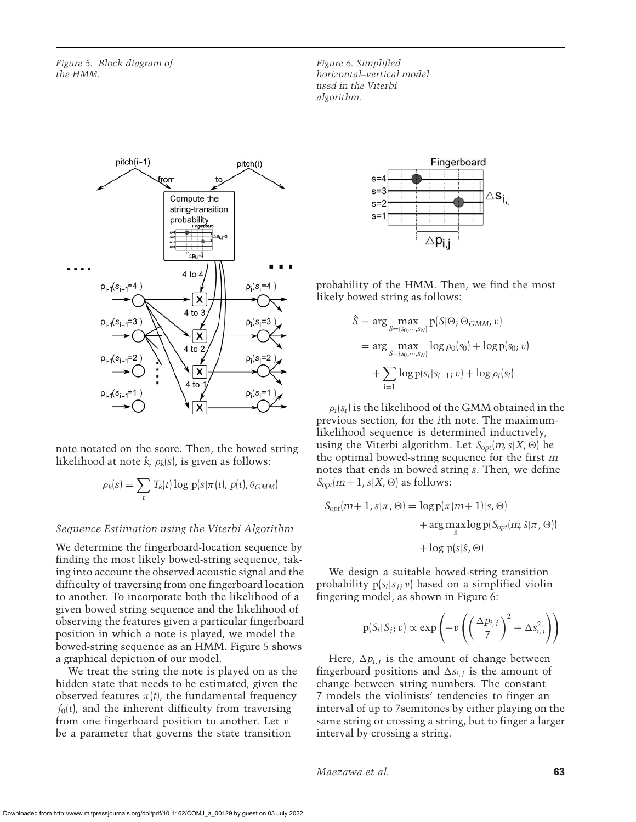*Figure 5. Block diagram of the HMM.*

*Figure 6. Simplified horizontal–vertical model used in the Viterbi algorithm.*



note notated on the score. Then, the bowed string likelihood at note *k*, ρ*k*(*s*), is given as follows:

$$
\rho_k(s) = \sum_t T_k(t) \log p(s|\pi(t), p(t), \theta_{GMM})
$$

#### *Sequence Estimation using the Viterbi Algorithm*

We determine the fingerboard-location sequence by finding the most likely bowed-string sequence, taking into account the observed acoustic signal and the difficulty of traversing from one fingerboard location to another. To incorporate both the likelihood of a given bowed string sequence and the likelihood of observing the features given a particular fingerboard position in which a note is played, we model the bowed-string sequence as an HMM. Figure 5 shows a graphical depiction of our model.

We treat the string the note is played on as the hidden state that needs to be estimated, given the observed features  $\pi(t)$ , the fundamental frequency  $f_0(t)$ , and the inherent difficulty from traversing from one fingerboard position to another. Let  $v$ be a parameter that governs the state transition



probability of the HMM. Then, we find the most likely bowed string as follows:

$$
\hat{S} = \arg \max_{S = \{s_0, \dots, s_N\}} p(S|\Theta; \Theta_{GMM}, v)
$$
  
= 
$$
\arg \max_{S = \{s_0, \dots, s_N\}} \log \rho_0(s_0) + \log p(s_0; v)
$$
  
+ 
$$
\sum_{i=1} \log p(s_i|s_{i-1}; v) + \log \rho_i(s_i)
$$

 $\rho_i(s_i)$  is the likelihood of the GMM obtained in the previous section, for the *i*th note. The maximumlikelihood sequence is determined inductively, using the Viterbi algorithm. Let  $S_{opt}(m, s | X, \Theta)$  be the optimal bowed-string sequence for the first *m* notes that ends in bowed string *s*. Then, we define  $S_{opt}(m+1, s|X, \Theta)$  as follows:

$$
S_{opt}(m+1, s | \pi, \Theta) = \log p(\pi(m+1) | s, \Theta)
$$

$$
+ \arg \max_{\hat{s}} \log p(S_{opt}(m, \hat{s} | \pi, \Theta))
$$

$$
+ \log p(s | \hat{s}, \Theta)
$$

We design a suitable bowed-string transition probability  $p(s_i|s_i; v)$  based on a simplified violin fingering model, as shown in Figure 6:

$$
p(S_i|S_j; v) \propto \exp\left(-v\left(\left(\frac{\Delta p_{i,j}}{7}\right)^2 + \Delta s_{i,j}^2\right)\right)
$$

Here,  $\Delta p_{i,j}$  is the amount of change between fingerboard positions and  $\Delta s_{i,j}$  is the amount of change between string numbers. The constant 7 models the violinists' tendencies to finger an interval of up to 7semitones by either playing on the same string or crossing a string, but to finger a larger interval by crossing a string.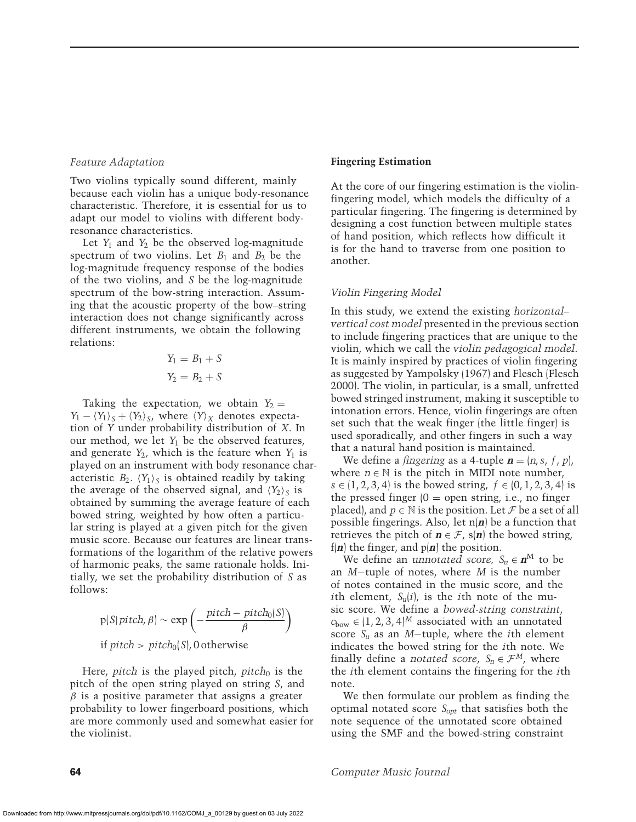#### *Feature Adaptation*

Two violins typically sound different, mainly because each violin has a unique body-resonance characteristic. Therefore, it is essential for us to adapt our model to violins with different bodyresonance characteristics.

Let  $Y_1$  and  $Y_2$  be the observed log-magnitude spectrum of two violins. Let  $B_1$  and  $B_2$  be the log-magnitude frequency response of the bodies of the two violins, and *S* be the log-magnitude spectrum of the bow-string interaction. Assuming that the acoustic property of the bow–string interaction does not change significantly across different instruments, we obtain the following relations:

$$
Y_1 = B_1 + S
$$

$$
Y_2 = B_2 + S
$$

Taking the expectation, we obtain  $Y_2 =$ *Y*<sub>1</sub> −  $\langle Y_1 \rangle_s + \langle Y_2 \rangle_s$ , where  $\langle Y \rangle_x$  denotes expectation of *Y* under probability distribution of *X*. In our method, we let *Y*<sup>1</sup> be the observed features, and generate  $Y_2$ , which is the feature when  $Y_1$  is played on an instrument with body resonance characteristic  $B_2$ .  $\langle Y_1 \rangle_S$  is obtained readily by taking the average of the observed signal, and  $\langle Y_2 \rangle_S$  is obtained by summing the average feature of each bowed string, weighted by how often a particular string is played at a given pitch for the given music score. Because our features are linear transformations of the logarithm of the relative powers of harmonic peaks, the same rationale holds. Initially, we set the probability distribution of *S* as follows:

$$
p(S|pitch, \beta) \sim \exp\left(-\frac{pitch - pitch_0(S)}{\beta}\right)
$$
if *pitch* > *pitch*  $(S)$  *Qotherwise*

if 
$$
pitch > pitch_0(S)
$$
, 0 otherwise

Here, *pitch* is the played pitch, *pitch*<sup>0</sup> is the pitch of the open string played on string *S*, and  $\beta$  is a positive parameter that assigns a greater probability to lower fingerboard positions, which are more commonly used and somewhat easier for the violinist.

#### **Fingering Estimation**

At the core of our fingering estimation is the violinfingering model, which models the difficulty of a particular fingering. The fingering is determined by designing a cost function between multiple states of hand position, which reflects how difficult it is for the hand to traverse from one position to another.

#### *Violin Fingering Model*

In this study, we extend the existing *horizontal– vertical cost model* presented in the previous section to include fingering practices that are unique to the violin, which we call the *violin pedagogical model*. It is mainly inspired by practices of violin fingering as suggested by Yampolsky (1967) and Flesch (Flesch 2000). The violin, in particular, is a small, unfretted bowed stringed instrument, making it susceptible to intonation errors. Hence, violin fingerings are often set such that the weak finger (the little finger) is used sporadically, and other fingers in such a way that a natural hand position is maintained.

We define a *fingering* as a 4-tuple  $\mathbf{n} = (n, s, f, p)$ , where  $n \in \mathbb{N}$  is the pitch in MIDI note number, *s* ∈  $(1, 2, 3, 4)$  is the bowed string,  $f$  ∈  $(0, 1, 2, 3, 4)$  is the pressed finger  $(0 =$  open string, i.e., no finger placed), and  $p \in \mathbb{N}$  is the position. Let  $\mathcal F$  be a set of all possible fingerings. Also, let  $n(n)$  be a function that retrieves the pitch of  $n \in \mathcal{F}$ , s(*n*) the bowed string,  $f(n)$  the finger, and  $p(n)$  the position.

We define an *unnotated score,*  $S_u \in \mathbf{n}^M$  to be an *M*−tuple of notes, where *M* is the number of notes contained in the music score, and the *i*th element,  $S_n(i)$ , is the *i*th note of the music score. We define a *bowed-string constraint*,  $c_{\text{bow}} \in (1, 2, 3, 4)^M$  associated with an unnotated score *Su* as an *M*−tuple, where the *i*th element indicates the bowed string for the *i*th note. We finally define a *notated score*,  $S_n \in \mathcal{F}^M$ , where the *i*th element contains the fingering for the *i*th note.

We then formulate our problem as finding the optimal notated score *Sopt* that satisfies both the note sequence of the unnotated score obtained using the SMF and the bowed-string constraint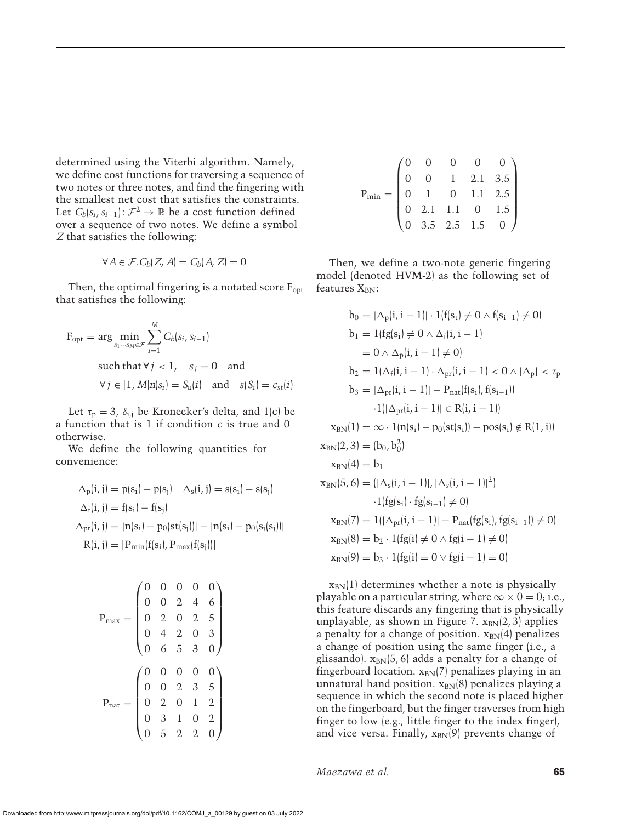determined using the Viterbi algorithm. Namely, we define cost functions for traversing a sequence of two notes or three notes, and find the fingering with the smallest net cost that satisfies the constraints. Let  $C_b(s_i, s_{i-1})$ :  $\mathcal{F}^2 \to \mathbb{R}$  be a cost function defined over a sequence of two notes. We define a symbol *Z* that satisfies the following:

$$
\forall A \in \mathcal{F}.C_b(Z, A) = C_b(A, Z) = 0
$$

Then, the optimal fingering is a notated score  $F_{opt}$  features  $X_{BN}$ : that satisfies the following:

$$
F_{opt} = \arg\min_{s_1\cdots s_M \in \mathcal{F}} \sum_{i=1}^M C_b(s_i, s_{i-1})
$$
  
such that  $\forall j < 1$ ,  $s_j = 0$  and  
 $\forall j \in [1, M] \infty[s_j] = S_u(i)$  and  $s(S_i) = c_{st}(i)$ 

Let  $\tau_p = 3$ ,  $\delta_{i,j}$  be Kronecker's delta, and 1(c) be a function that is 1 if condition *c* is true and 0 otherwise.

We define the following quantities for convenience:

$$
\Delta_{p}(i, j) = p(s_{i}) - p(s_{j}) \quad \Delta_{s}(i, j) = s(s_{i}) - s(s_{j})
$$
  
\n
$$
\Delta_{f}(i, j) = f(s_{i}) - f(s_{j})
$$
  
\n
$$
\Delta_{pr}(i, j) = |n(s_{i}) - p_{0}(st(s_{j}))| - |n(s_{i}) - p_{0}(s_{j}(s_{j}))|
$$
  
\n
$$
R(i, j) = [P_{min}(f(s_{i}), P_{max}(f(s_{j}))]
$$

$$
P_{max} = \begin{pmatrix} 0 & 0 & 0 & 0 & 0 \\ 0 & 0 & 2 & 4 & 6 \\ 0 & 2 & 0 & 2 & 5 \\ 0 & 4 & 2 & 0 & 3 \\ 0 & 6 & 5 & 3 & 0 \end{pmatrix}
$$

$$
P_{nat} = \begin{pmatrix} 0 & 0 & 0 & 0 & 0 \\ 0 & 0 & 2 & 3 & 5 \\ 0 & 2 & 0 & 1 & 2 \\ 0 & 3 & 1 & 0 & 2 \\ 0 & 5 & 2 & 2 & 0 \end{pmatrix}
$$

| $P_{min} = \begin{pmatrix} 0 & 0 & 0 & 0 & 0 \\ 0 & 0 & 1 & 2.1 & 3.5 \\ 0 & 1 & 0 & 1.1 & 2.5 \\ 0 & 2.1 & 1.1 & 0 & 1.5 \\ 0 & 3.5 & 2.5 & 1.5 & 0 \end{pmatrix}$ |  |  |  |
|---------------------------------------------------------------------------------------------------------------------------------------------------------------------|--|--|--|
|                                                                                                                                                                     |  |  |  |
|                                                                                                                                                                     |  |  |  |
|                                                                                                                                                                     |  |  |  |
|                                                                                                                                                                     |  |  |  |

Then, we define a two-note generic fingering model (denoted HVM-2) as the following set of

$$
b_0 = |\Delta_p(i, i - 1)| \cdot 1(f(s_t) \neq 0 \land f(s_{i-1}) \neq 0)
$$
  
\n
$$
b_1 = 1(fg(s_i) \neq 0 \land \Delta_f(i, i - 1)
$$
  
\n
$$
= 0 \land \Delta_p(i, i - 1) \neq 0)
$$
  
\n
$$
b_2 = 1(\Delta_f(i, i - 1) \cdot \Delta_{pr}(i, i - 1) < 0 \land |\Delta_p| < \tau_p
$$
  
\n
$$
b_3 = |\Delta_{pr}(i, i - 1)| - P_{nat}(f(s_i), f(s_{i-1}))
$$
  
\n
$$
\cdot 1(|\Delta_{pr}(i, i - 1)| \in R(i, i - 1))
$$
  
\n
$$
x_{BN}(1) = \infty \cdot 1(n(s_i) - p_0(st(s_i)) - pos(s_i) \notin R(1, i))
$$
  
\n
$$
x_{BN}(2, 3) = (b_0, b_0^2)
$$
  
\n
$$
x_{BN}(4) = b_1
$$
  
\n
$$
x_{BN}(5, 6) = (|\Delta_s(i, i - 1)|, |\Delta_s(i, i - 1)|^2)
$$
  
\n
$$
\cdot 1(fg(s_i) \cdot fg(s_{i-1}) \neq 0)
$$
  
\n
$$
x_{BN}(7) = 1(|\Delta_{pr}(i, i - 1)| - P_{nat}(fg(s_i), fg(s_{i-1})) \neq 0)
$$
  
\n
$$
x_{BN}(8) = b_2 \cdot 1(fg(i) \neq 0 \land fg(i - 1) \neq 0)
$$
  
\n
$$
x_{BN}(9) = b_3 \cdot 1(fg(i) = 0 \lor fg(i - 1) = 0)
$$

 $x_{BN}(1)$  determines whether a note is physically playable on a particular string, where  $\infty \times 0 = 0$ ; i.e., this feature discards any fingering that is physically unplayable, as shown in Figure 7.  $x_{BN}(2, 3)$  applies a penalty for a change of position.  $x_{BN}(4)$  penalizes a change of position using the same finger (i.e., a glissando).  $x_{BN}(5, 6)$  adds a penalty for a change of fingerboard location.  $x_{BN}$ (7) penalizes playing in an unnatural hand position.  $x_{BN}(8)$  penalizes playing a sequence in which the second note is placed higher on the fingerboard, but the finger traverses from high finger to low (e.g., little finger to the index finger), and vice versa. Finally,  $x_{BN}(9)$  prevents change of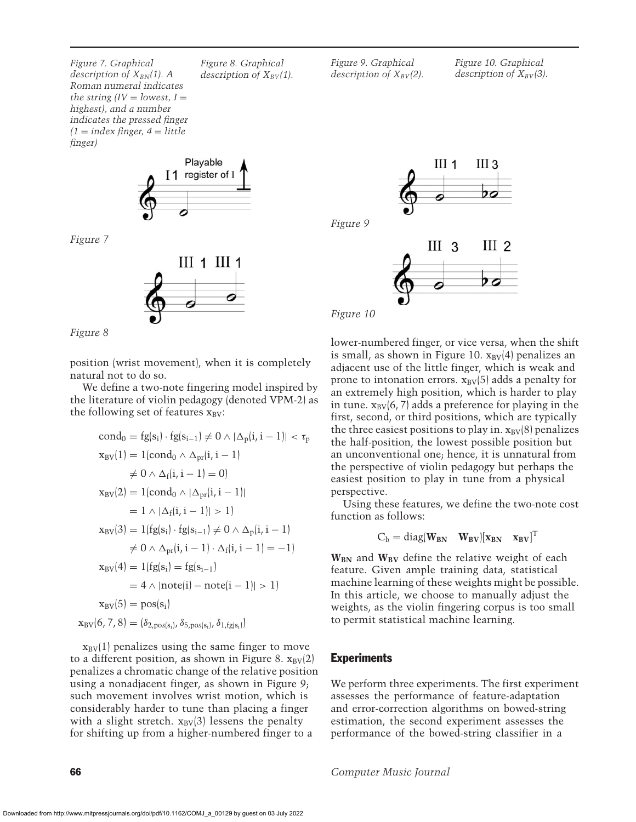*Figure 7. Graphical description of XBN(1). A Roman numeral indicates the string*  $IV = lowest, I =$ *highest), and a number indicates the pressed finger*  $(1 = index finger, 4 = little)$ *finger)*



*Figure 8. Graphical description of*  $X_{BV}(1)$ .

*Figure 7*



*Figure 8*

position (wrist movement), when it is completely natural not to do so.

We define a two-note fingering model inspired by the literature of violin pedagogy (denoted VPM-2) as the following set of features  $x_{BV}$ :

$$
cond_0 = fg(s_i) \cdot fg(s_{i-1}) ≠ 0 ∧ |Δ_p(i, i - 1)| < τ_p
$$
  
\n
$$
x_{BV}(1) = 1(cond_0 ∧ Δ_{pr}(i, i - 1))
$$
  
\n
$$
≠ 0 ∧ Δ_f(i, i - 1) = 0)
$$
  
\n
$$
x_{BV}(2) = 1(cond_0 ∧ |Δ_{pr}(i, i - 1)|)
$$
  
\n
$$
= 1 ∧ |Δ_f(i, i - 1)| > 1)
$$
  
\n
$$
x_{BV}(3) = 1(fg(s_i) \cdot fg(s_{i-1}) ≠ 0 ∧ Δ_p(i, i - 1)
$$
  
\n
$$
≠ 0 ∧ Δ_{pr}(i, i - 1) \cdot Δ_f(i, i - 1) = -1)
$$
  
\n
$$
x_{BV}(4) = 1(fg(s_i) = fg(s_{i-1})
$$
  
\n
$$
= 4 ∧ |note(i) - note(i - 1)| > 1)
$$
  
\n
$$
x_{BV}(5) = pos(s_i)
$$
  
\n
$$
x_{BV}(6, 7, 8) = (δ_{2, pos(s_i)}, δ_{5, pos(s_i)}, δ_{1, fg(s_i)})
$$

 $x_{BV}(1)$  penalizes using the same finger to move to a different position, as shown in Figure 8.  $x_{BV}(2)$ penalizes a chromatic change of the relative position using a nonadjacent finger, as shown in Figure 9; such movement involves wrist motion, which is considerably harder to tune than placing a finger with a slight stretch.  $x_{BV}(3)$  lessens the penalty for shifting up from a higher-numbered finger to a

66 *Computer Music Journal*

*Figure 9. Graphical description of*  $X_{BV}(2)$ *.*  *Figure 10. Graphical description of X<sub>BV</sub>(3).* 





*Figure 10*

*Figure 9*

lower-numbered finger, or vice versa, when the shift is small, as shown in Figure 10.  $x_{BV}(4)$  penalizes an adjacent use of the little finger, which is weak and prone to intonation errors.  $x_{BV}(5)$  adds a penalty for an extremely high position, which is harder to play in tune.  $x_{BV}(6, 7)$  adds a preference for playing in the first, second, or third positions, which are typically the three easiest positions to play in.  $x_{BV}(8)$  penalizes the half-position, the lowest possible position but an unconventional one; hence, it is unnatural from the perspective of violin pedagogy but perhaps the easiest position to play in tune from a physical perspective.

Using these features, we define the two-note cost function as follows:

$$
C_{b} = \text{diag}(\mathbf{W}_{BN} \quad \mathbf{W}_{BV} | [\mathbf{x}_{BN} \quad \mathbf{x}_{BV}]^{T}
$$

 $W_{BN}$  and  $W_{BV}$  define the relative weight of each feature. Given ample training data, statistical machine learning of these weights might be possible. In this article, we choose to manually adjust the weights, as the violin fingering corpus is too small to permit statistical machine learning.

# **Experiments**

We perform three experiments. The first experiment assesses the performance of feature-adaptation and error-correction algorithms on bowed-string estimation, the second experiment assesses the performance of the bowed-string classifier in a

Downloaded from http://www.mitpressjournals.org/doi/pdf/10.1162/COMJ\_a\_00129 by guest on 03 July 2022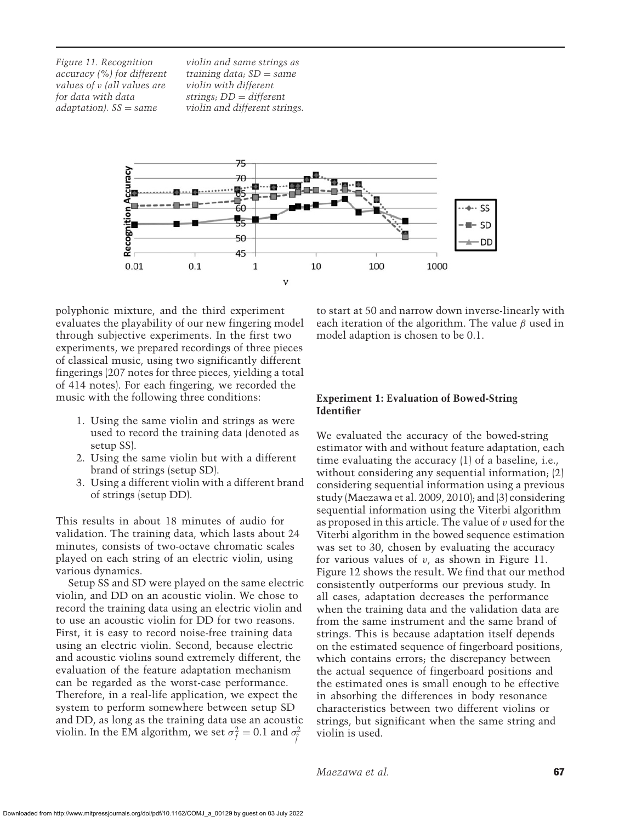*Figure 11. Recognition accuracy (%) for different values of* v *(all values are for data with data adaptation). SS* = *same*

*violin and same strings as training data; SD* = *same violin with different strings; DD* = *different violin and different strings.*



polyphonic mixture, and the third experiment evaluates the playability of our new fingering model through subjective experiments. In the first two experiments, we prepared recordings of three pieces of classical music, using two significantly different fingerings (207 notes for three pieces, yielding a total of 414 notes). For each fingering, we recorded the music with the following three conditions:

- 1. Using the same violin and strings as were used to record the training data (denoted as setup SS).
- 2. Using the same violin but with a different brand of strings (setup SD).
- 3. Using a different violin with a different brand of strings (setup DD).

This results in about 18 minutes of audio for validation. The training data, which lasts about 24 minutes, consists of two-octave chromatic scales played on each string of an electric violin, using various dynamics.

Setup SS and SD were played on the same electric violin, and DD on an acoustic violin. We chose to record the training data using an electric violin and to use an acoustic violin for DD for two reasons. First, it is easy to record noise-free training data using an electric violin. Second, because electric and acoustic violins sound extremely different, the evaluation of the feature adaptation mechanism can be regarded as the worst-case performance. Therefore, in a real-life application, we expect the system to perform somewhere between setup SD and DD, as long as the training data use an acoustic violin. In the EM algorithm, we set  $\sigma_f^2 = 0.1$  and  $\sigma_f^2$ 

to start at 50 and narrow down inverse-linearly with each iteration of the algorithm. The value  $\beta$  used in model adaption is chosen to be 0.1.

# **Experiment 1: Evaluation of Bowed-String Identifier**

We evaluated the accuracy of the bowed-string estimator with and without feature adaptation, each time evaluating the accuracy (1) of a baseline, i.e., without considering any sequential information; (2) considering sequential information using a previous study (Maezawa et al. 2009, 2010); and (3) considering sequential information using the Viterbi algorithm as proposed in this article. The value of  $v$  used for the Viterbi algorithm in the bowed sequence estimation was set to 30, chosen by evaluating the accuracy for various values of  $v$ , as shown in Figure 11. Figure 12 shows the result. We find that our method consistently outperforms our previous study. In all cases, adaptation decreases the performance when the training data and the validation data are from the same instrument and the same brand of strings. This is because adaptation itself depends on the estimated sequence of fingerboard positions, which contains errors; the discrepancy between the actual sequence of fingerboard positions and the estimated ones is small enough to be effective in absorbing the differences in body resonance characteristics between two different violins or strings, but significant when the same string and violin is used.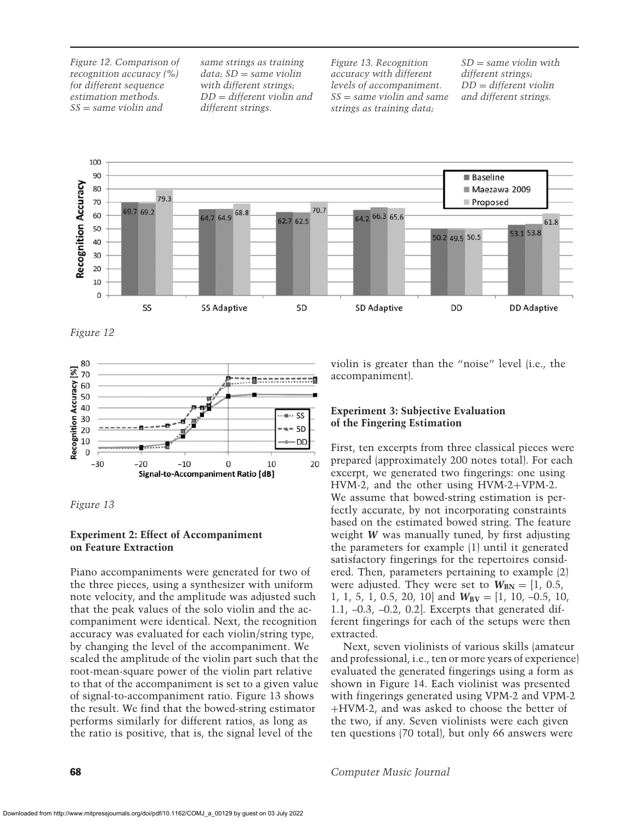*Figure 12. Comparison of recognition accuracy (%) for different sequence estimation methods. SS* = *same violin and*

*same strings as training data; SD* = *same violin with different strings; DD* = *different violin and different strings.*

*Figure 13. Recognition accuracy with different levels of accompaniment. SS* = *same violin and same strings as training data;*

*SD* = *same violin with different strings; DD* = *different violin and different strings.*



*Figure 12*



*Figure 13*

#### **Experiment 2: Effect of Accompaniment on Feature Extraction**

Piano accompaniments were generated for two of the three pieces, using a synthesizer with uniform note velocity, and the amplitude was adjusted such that the peak values of the solo violin and the accompaniment were identical. Next, the recognition accuracy was evaluated for each violin/string type, by changing the level of the accompaniment. We scaled the amplitude of the violin part such that the root-mean-square power of the violin part relative to that of the accompaniment is set to a given value of signal-to-accompaniment ratio. Figure 13 shows the result. We find that the bowed-string estimator performs similarly for different ratios, as long as the ratio is positive, that is, the signal level of the

violin is greater than the "noise" level (i.e., the accompaniment).

# **Experiment 3: Subjective Evaluation of the Fingering Estimation**

First, ten excerpts from three classical pieces were prepared (approximately 200 notes total). For each excerpt, we generated two fingerings: one using HVM-2, and the other using HVM-2+VPM-2. We assume that bowed-string estimation is perfectly accurate, by not incorporating constraints based on the estimated bowed string. The feature weight *W* was manually tuned, by first adjusting the parameters for example (1) until it generated satisfactory fingerings for the repertoires considered. Then, parameters pertaining to example (2) were adjusted. They were set to  $W_{BN} = [1, 0.5,$ 1, 1, 5, 1, 0.5, 20, 10] and *W***BV** = [1, 10, –0.5, 10, 1.1, –0.3, –0.2, 0.2]. Excerpts that generated different fingerings for each of the setups were then extracted.

Next, seven violinists of various skills (amateur and professional, i.e., ten or more years of experience) evaluated the generated fingerings using a form as shown in Figure 14. Each violinist was presented with fingerings generated using VPM-2 and VPM-2 +HVM-2, and was asked to choose the better of the two, if any. Seven violinists were each given ten questions (70 total), but only 66 answers were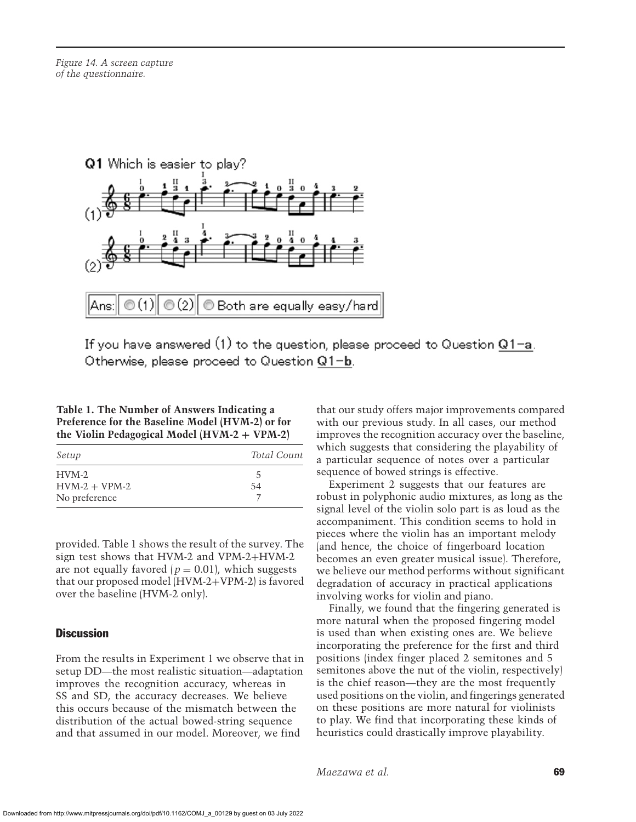*Figure 14. A screen capture of the questionnaire.*



If you have answered (1) to the question, please proceed to Question  $Q1-a$ . Otherwise, please proceed to Question Q1-b.

**Table 1. The Number of Answers Indicating a Preference for the Baseline Model (HVM-2) or for the Violin Pedagogical Model (HVM-2 + VPM-2)**

| Setup                                       | Total Count |
|---------------------------------------------|-------------|
| $HVM-2$<br>$HVM-2 + VPM-2$<br>No preference | 54          |

provided. Table 1 shows the result of the survey. The sign test shows that HVM-2 and VPM-2+HVM-2 are not equally favored  $(p = 0.01)$ , which suggests that our proposed model (HVM-2+VPM-2) is favored over the baseline (HVM-2 only).

# **Discussion**

From the results in Experiment 1 we observe that in setup DD—the most realistic situation—adaptation improves the recognition accuracy, whereas in SS and SD, the accuracy decreases. We believe this occurs because of the mismatch between the distribution of the actual bowed-string sequence and that assumed in our model. Moreover, we find

that our study offers major improvements compared with our previous study. In all cases, our method improves the recognition accuracy over the baseline, which suggests that considering the playability of a particular sequence of notes over a particular sequence of bowed strings is effective.

Experiment 2 suggests that our features are robust in polyphonic audio mixtures, as long as the signal level of the violin solo part is as loud as the accompaniment. This condition seems to hold in pieces where the violin has an important melody (and hence, the choice of fingerboard location becomes an even greater musical issue). Therefore, we believe our method performs without significant degradation of accuracy in practical applications involving works for violin and piano.

Finally, we found that the fingering generated is more natural when the proposed fingering model is used than when existing ones are. We believe incorporating the preference for the first and third positions (index finger placed 2 semitones and 5 semitones above the nut of the violin, respectively) is the chief reason—they are the most frequently used positions on the violin, and fingerings generated on these positions are more natural for violinists to play. We find that incorporating these kinds of heuristics could drastically improve playability.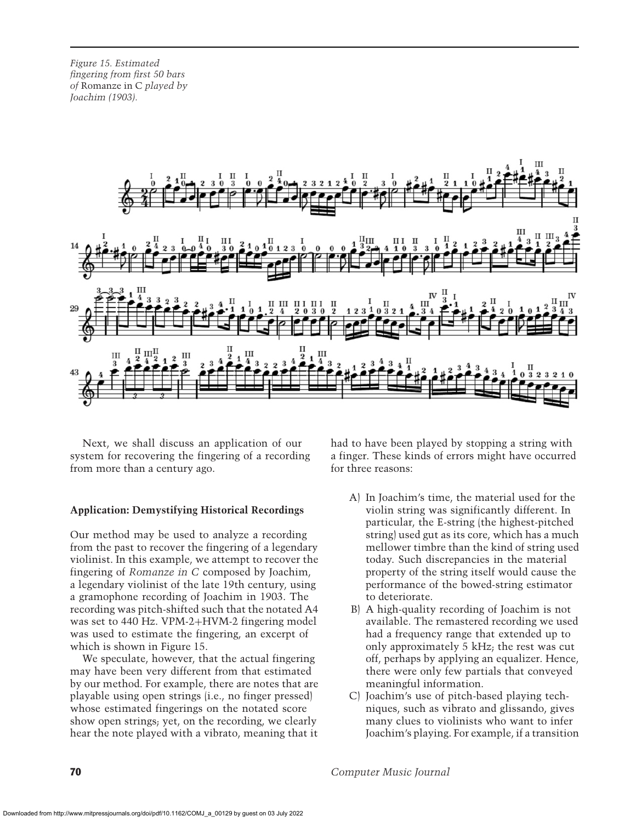*Figure 15. Estimated fingering from first 50 bars of* Romanze in C *played by Joachim (1903).*



Next, we shall discuss an application of our system for recovering the fingering of a recording from more than a century ago.

#### **Application: Demystifying Historical Recordings**

Our method may be used to analyze a recording from the past to recover the fingering of a legendary violinist. In this example, we attempt to recover the fingering of *Romanze in C* composed by Joachim, a legendary violinist of the late 19th century, using a gramophone recording of Joachim in 1903. The recording was pitch-shifted such that the notated A4 was set to 440 Hz. VPM-2+HVM-2 fingering model was used to estimate the fingering, an excerpt of which is shown in Figure 15.

We speculate, however, that the actual fingering may have been very different from that estimated by our method. For example, there are notes that are playable using open strings (i.e., no finger pressed) whose estimated fingerings on the notated score show open strings; yet, on the recording, we clearly hear the note played with a vibrato, meaning that it

had to have been played by stopping a string with a finger. These kinds of errors might have occurred for three reasons:

- A) In Joachim's time, the material used for the violin string was significantly different. In particular, the E-string (the highest-pitched string) used gut as its core, which has a much mellower timbre than the kind of string used today. Such discrepancies in the material property of the string itself would cause the performance of the bowed-string estimator to deteriorate.
- B) A high-quality recording of Joachim is not available. The remastered recording we used had a frequency range that extended up to only approximately 5 kHz; the rest was cut off, perhaps by applying an equalizer. Hence, there were only few partials that conveyed meaningful information.
- C) Joachim's use of pitch-based playing techniques, such as vibrato and glissando, gives many clues to violinists who want to infer Joachim's playing. For example, if a transition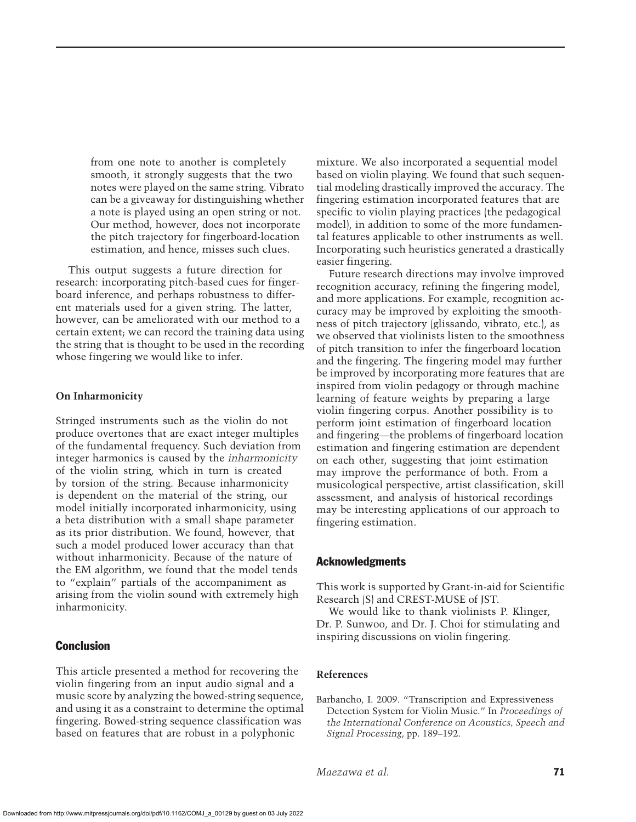from one note to another is completely smooth, it strongly suggests that the two notes were played on the same string. Vibrato can be a giveaway for distinguishing whether a note is played using an open string or not. Our method, however, does not incorporate the pitch trajectory for fingerboard-location estimation, and hence, misses such clues.

This output suggests a future direction for research: incorporating pitch-based cues for fingerboard inference, and perhaps robustness to different materials used for a given string. The latter, however, can be ameliorated with our method to a certain extent; we can record the training data using the string that is thought to be used in the recording whose fingering we would like to infer.

#### **On Inharmonicity**

Stringed instruments such as the violin do not produce overtones that are exact integer multiples of the fundamental frequency. Such deviation from integer harmonics is caused by the *inharmonicity* of the violin string, which in turn is created by torsion of the string. Because inharmonicity is dependent on the material of the string, our model initially incorporated inharmonicity, using a beta distribution with a small shape parameter as its prior distribution. We found, however, that such a model produced lower accuracy than that without inharmonicity. Because of the nature of the EM algorithm, we found that the model tends to "explain" partials of the accompaniment as arising from the violin sound with extremely high inharmonicity.

# **Conclusion**

This article presented a method for recovering the violin fingering from an input audio signal and a music score by analyzing the bowed-string sequence, and using it as a constraint to determine the optimal fingering. Bowed-string sequence classification was based on features that are robust in a polyphonic

mixture. We also incorporated a sequential model based on violin playing. We found that such sequential modeling drastically improved the accuracy. The fingering estimation incorporated features that are specific to violin playing practices (the pedagogical model), in addition to some of the more fundamental features applicable to other instruments as well. Incorporating such heuristics generated a drastically easier fingering.

Future research directions may involve improved recognition accuracy, refining the fingering model, and more applications. For example, recognition accuracy may be improved by exploiting the smoothness of pitch trajectory (glissando, vibrato, etc.), as we observed that violinists listen to the smoothness of pitch transition to infer the fingerboard location and the fingering. The fingering model may further be improved by incorporating more features that are inspired from violin pedagogy or through machine learning of feature weights by preparing a large violin fingering corpus. Another possibility is to perform joint estimation of fingerboard location and fingering—the problems of fingerboard location estimation and fingering estimation are dependent on each other, suggesting that joint estimation may improve the performance of both. From a musicological perspective, artist classification, skill assessment, and analysis of historical recordings may be interesting applications of our approach to fingering estimation.

# Acknowledgments

This work is supported by Grant-in-aid for Scientific Research (S) and CREST-MUSE of JST.

We would like to thank violinists P. Klinger, Dr. P. Sunwoo, and Dr. J. Choi for stimulating and inspiring discussions on violin fingering.

#### **References**

Barbancho, I. 2009. "Transcription and Expressiveness Detection System for Violin Music." In *Proceedings of the International Conference on Acoustics, Speech and Signal Processing*, pp. 189–192.